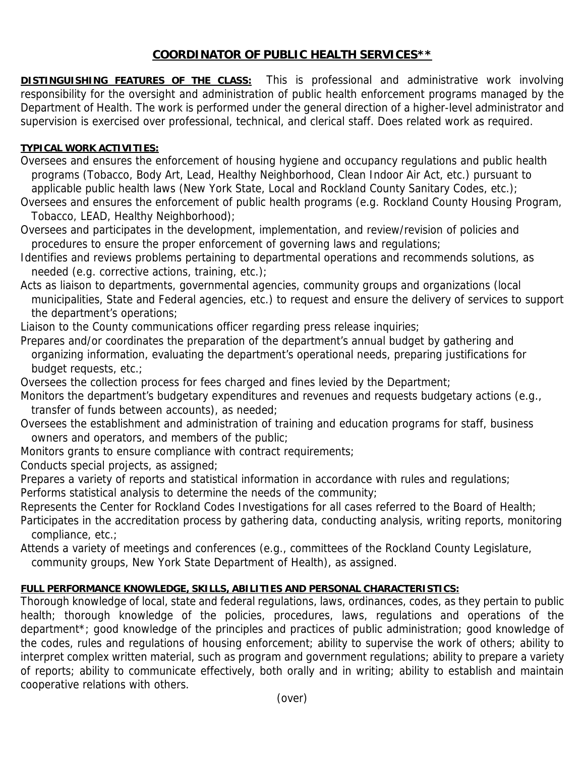## **COORDINATOR OF PUBLIC HEALTH SERVICES\*\***

**DISTINGUISHING FEATURES OF THE CLASS:** This is professional and administrative work involving responsibility for the oversight and administration of public health enforcement programs managed by the Department of Health. The work is performed under the general direction of a higher-level administrator and supervision is exercised over professional, technical, and clerical staff. Does related work as required.

## **TYPICAL WORK ACTIVITIES:**

Oversees and ensures the enforcement of housing hygiene and occupancy regulations and public health programs (Tobacco, Body Art, Lead, Healthy Neighborhood, Clean Indoor Air Act, etc.) pursuant to applicable public health laws (New York State, Local and Rockland County Sanitary Codes, etc.);

Oversees and ensures the enforcement of public health programs (e.g. Rockland County Housing Program, Tobacco, LEAD, Healthy Neighborhood);

Oversees and participates in the development, implementation, and review/revision of policies and procedures to ensure the proper enforcement of governing laws and regulations;

Identifies and reviews problems pertaining to departmental operations and recommends solutions, as needed (e.g. corrective actions, training, etc.);

Acts as liaison to departments, governmental agencies, community groups and organizations (local municipalities, State and Federal agencies, etc.) to request and ensure the delivery of services to support the department's operations;

Liaison to the County communications officer regarding press release inquiries;

Prepares and/or coordinates the preparation of the department's annual budget by gathering and organizing information, evaluating the department's operational needs, preparing justifications for budget requests, etc.;

Oversees the collection process for fees charged and fines levied by the Department;

Monitors the department's budgetary expenditures and revenues and requests budgetary actions (e.g., transfer of funds between accounts), as needed;

Oversees the establishment and administration of training and education programs for staff, business owners and operators, and members of the public;

Monitors grants to ensure compliance with contract requirements;

Conducts special projects, as assigned;

Prepares a variety of reports and statistical information in accordance with rules and regulations;

Performs statistical analysis to determine the needs of the community;

Represents the Center for Rockland Codes Investigations for all cases referred to the Board of Health;

Participates in the accreditation process by gathering data, conducting analysis, writing reports, monitoring compliance, etc.;

Attends a variety of meetings and conferences (e.g., committees of the Rockland County Legislature,

community groups, New York State Department of Health), as assigned.

## **FULL PERFORMANCE KNOWLEDGE, SKILLS, ABILITIES AND PERSONAL CHARACTERISTICS:**

Thorough knowledge of local, state and federal regulations, laws, ordinances, codes, as they pertain to public health; thorough knowledge of the policies, procedures, laws, regulations and operations of the department\*; good knowledge of the principles and practices of public administration; good knowledge of the codes, rules and regulations of housing enforcement; ability to supervise the work of others; ability to interpret complex written material, such as program and government regulations; ability to prepare a variety of reports; ability to communicate effectively, both orally and in writing; ability to establish and maintain cooperative relations with others.